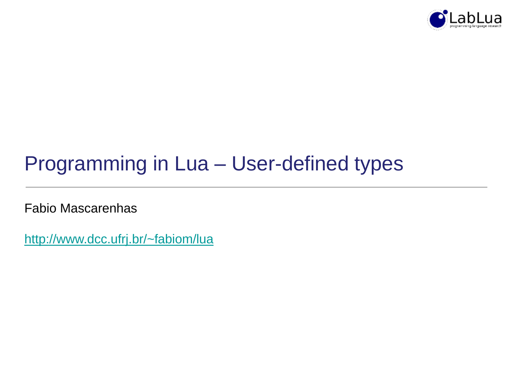

# Programming in Lua – User-defined types

Fabio Mascarenhas

<http://www.dcc.ufrj.br/~fabiom/lua>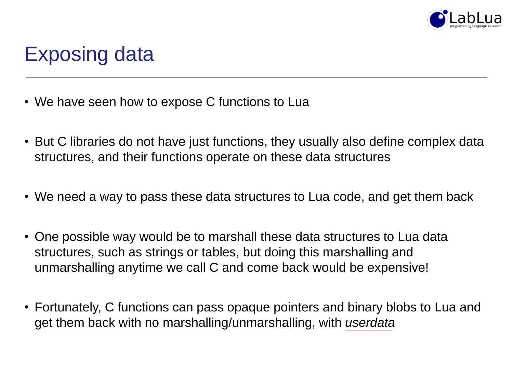

## Exposing data

- We have seen how to expose C functions to Lua
- But C libraries do not have just functions, they usually also define complex data structures, and their functions operate on these data structures
- We need a way to pass these data structures to Lua code, and get them back
- One possible way would be to marshall these data structures to Lua data structures, such as strings or tables, but doing this marshalling and unmarshalling anytime we call C and come back would be expensive!
- Fortunately, C functions can pass opaque pointers and binary blobs to Lua and get them back with no marshalling/unmarshalling, with *userdata*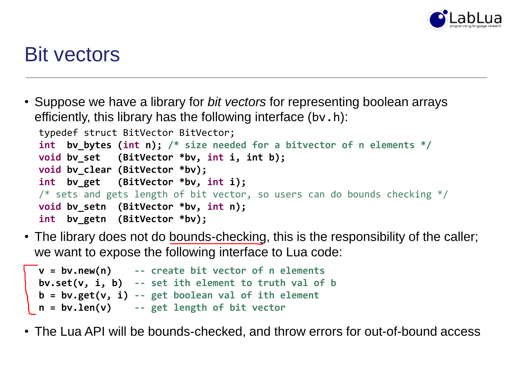

#### Bit vectors

• Suppose we have a library for *bit vectors* for representing boolean arrays efficiently, this library has the following interface (bv.h):

```
typedef struct BitVector BitVector;
int bv_bytes (int n); /* size needed for a bitvector of n elements */
void bv_set (BitVector *bv, int i, int b);
void bv_clear (BitVector *bv);
int bv_get (BitVector *bv, int i);
/* sets and gets length of bit vector, so users can do bounds checking */void bv_setn (BitVector *bv, int n);
int bv_getn (BitVector *bv);
```
• The library does not do bounds-checking, this is the responsibility of the caller; we want to expose the following interface to Lua code:

```
v = bv.new(n) -- create bit vector of n elements
bv.set(v, i, b) -- set ith element to truth val of b
b = bv.get(v, i) -- get boolean val of ith element
n = bv.len(v) -- get length of bit vector
```
• The Lua API will be bounds-checked, and throw errors for out-of-bound access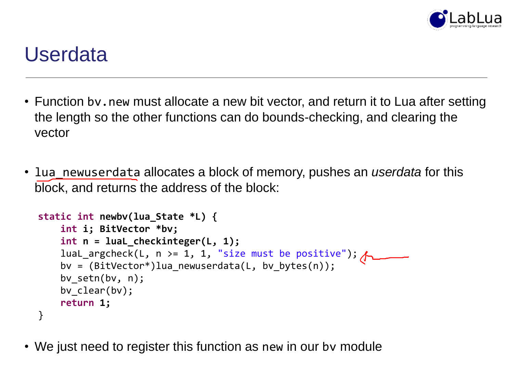

# **Userdata**

- Function bv.new must allocate a new bit vector, and return it to Lua after setting the length so the other functions can do bounds-checking, and clearing the vector
- lua newuserdata allocates a block of memory, pushes an *userdata* for this block, and returns the address of the block:

```
static int newbv(lua_State *L) {
    int i; BitVector *bv;
    int n = luaL_checkinteger(L, 1);
    luaL_argcheck(L, n >= 1, 1, "size must be positive"); \Lambdabv = (BitVector*)lua_newuserdata(L, bv_bytes(n));
    bv setn(bv, n);
    bv clear(bv);
    return 1;
}
```
• We just need to register this function as new in our by module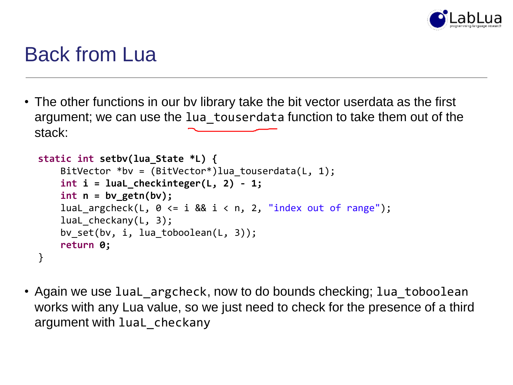

## Back from Lua

• The other functions in our bv library take the bit vector userdata as the first argument; we can use the lua\_touserdata function to take them out of the stack:

```
static int setbv(lua_State *L) {
    BitVector *bv = (BitVector*)lua_touserdata(L, 1);
    int i = luaL_checkinteger(L, 2) - 1;
    int n = bv getn(bv);luaL argcheck(L, \theta \leq i && i < n, 2, "index out of range");
    luaL checkany(L, 3);
    bv set(bv, i, lua toboolean(L, 3));
    return 0;
}
```
• Again we use luaL\_argcheck, now to do bounds checking; lua\_toboolean works with any Lua value, so we just need to check for the presence of a third argument with luaL\_checkany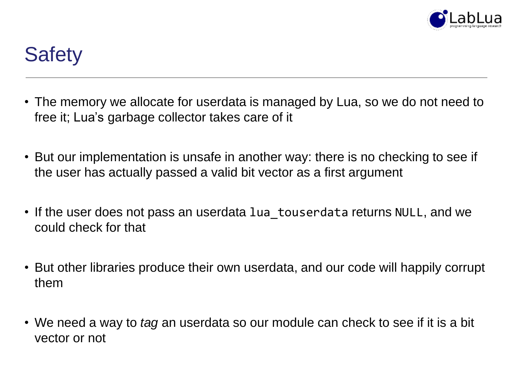

# **Safety**

- The memory we allocate for userdata is managed by Lua, so we do not need to free it; Lua's garbage collector takes care of it
- But our implementation is unsafe in another way: there is no checking to see if the user has actually passed a valid bit vector as a first argument
- If the user does not pass an userdata lua touserdata returns NULL, and we could check for that
- But other libraries produce their own userdata, and our code will happily corrupt them
- We need a way to *tag* an userdata so our module can check to see if it is a bit vector or not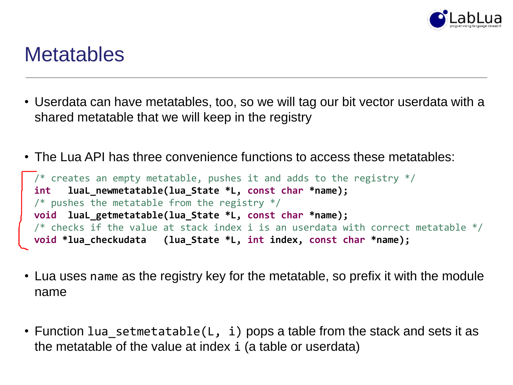

## **Metatables**

- Userdata can have metatables, too, so we will tag our bit vector userdata with a shared metatable that we will keep in the registry
- The Lua API has three convenience functions to access these metatables:



- Lua uses name as the registry key for the metatable, so prefix it with the module name
- Function lua\_setmetatable(L, i) pops a table from the stack and sets it as the metatable of the value at index i (a table or userdata)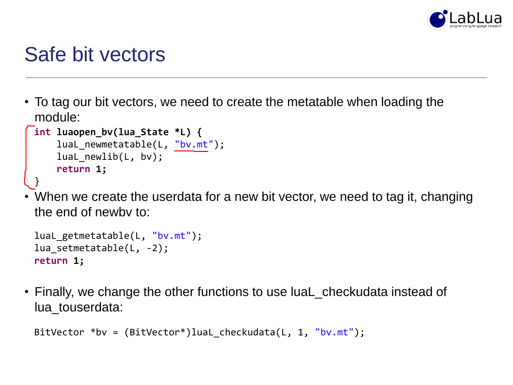

## Safe bit vectors

• To tag our bit vectors, we need to create the metatable when loading the module:

```
int luaopen_bv(lua_State *L) {
    luaL_newmetatable(L, "bv.mt");
    luaL_newlib(L, bv);
    return 1;
}
```
• When we create the userdata for a new bit vector, we need to tag it, changing the end of newbv to:

```
luaL_getmetatable(L, "bv.mt");
lua setmetatable(L, -2);
return 1;
```
• Finally, we change the other functions to use luaL\_checkudata instead of lua\_touserdata:

```
BitVector *bv = (BitVector*)luaL checkudata(L, 1, "bv.mt");
```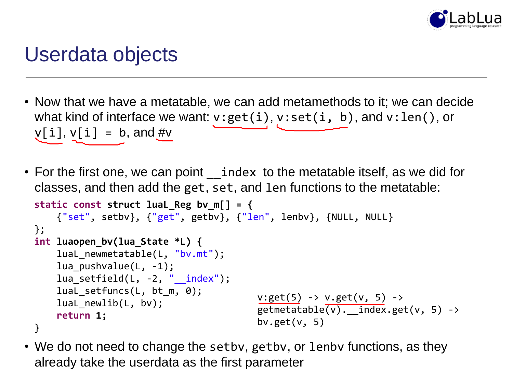

## Userdata objects

- Now that we have a metatable, we can add metamethods to it; we can decide what kind of interface we want: v:get(i), v:set(i, b), and v:len(), or  $v[i], v[i] = b$ , and  $\#v$
- For the first one, we can point \_\_index to the metatable itself, as we did for classes, and then add the get, set, and len functions to the metatable: **static const struct luaL Reg bv**  $m[] = {$ {"set", setbv}, {"get", getbv}, {"len", lenbv}, {NULL, NULL} }; **int luaopen\_bv(lua\_State \*L) {** luaL newmetatable(L, "bv.mt"); lua pushvalue $(L, -1);$ lua setfield( $L, -2,$  " index"); luaL setfuncs(L, bt m, 0); luaL newlib(L, bv); **return 1;** }  $v:get(5) \rightarrow v.get(v, 5) \rightarrow$  $getmetatable(v).$  index.get(v, 5) -> bv.get $(v, 5)$
- We do not need to change the setbv, getbv, or lenbv functions, as they already take the userdata as the first parameter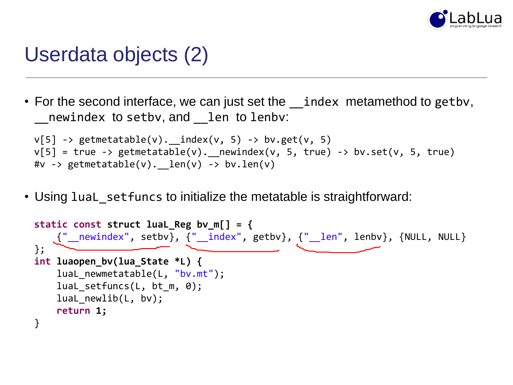

# Userdata objects (2)

• For the second interface, we can just set the index metamethod to getby, newindex to setbv, and \_\_len to lenbv:

```
v[5] -> getmetatable(v). index(v, 5) -> bv.get(v, 5)
v[5] = true -> getmetatable(v). newindex(v, 5, true) -> bv.set(v, 5, true)
#v -> getmetatable(v). len(v) -> bv.len(v)
```
• Using lual setfuncs to initialize the metatable is straightforward:

```
static const struct luaL Reg bv m[] = {{"__newindex", setbv}, {"__index", getbv}, {"__len", lenbv}, {NULL, NULL}
};
int luaopen_bv(lua_State *L) {
    luaL newmetatable(L, "bv.mt");
    luaL setfuncs(L, bt m, 0);
    luaL newlib(L, bv);
   return 1;
}
```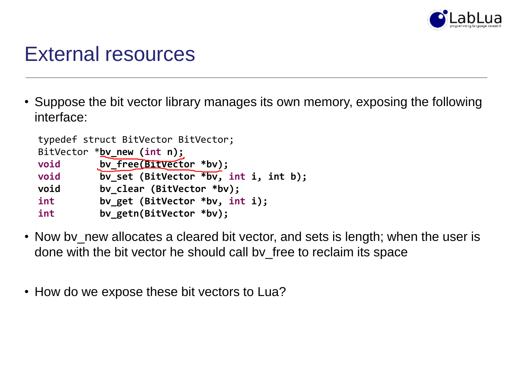

## External resources

• Suppose the bit vector library manages its own memory, exposing the following interface:

typedef struct BitVector BitVector; BitVector \***bv\_new (int n);** void bv free(BitVector \*bv); **void bv\_set (BitVector \*bv, int i, int b); void bv\_clear (BitVector \*bv); int bv\_get (BitVector \*bv, int i); int bv\_getn(BitVector \*bv);**

- Now bv\_new allocates a cleared bit vector, and sets is length; when the user is done with the bit vector he should call bv\_free to reclaim its space
- How do we expose these bit vectors to Lua?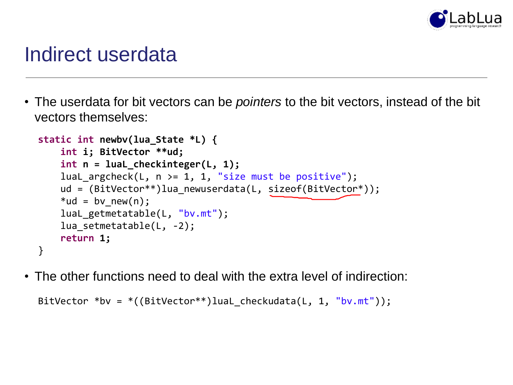

#### Indirect userdata

• The userdata for bit vectors can be *pointers* to the bit vectors, instead of the bit vectors themselves:

```
static int newbv(lua_State *L) {
    int i; BitVector **ud;
    int n = luaL_checkinteger(L, 1);
    luaL argcheck(L, n \ge 1, 1, "size must be positive");
    ud = (BitVector**)lua newuserdata(L, sizeof(BitVector*));
    *ud = bv new(n);
    luaL getmetatable(L, "bv.mt");
    lua setmetatable(L, -2);
    return 1;
}
```
• The other functions need to deal with the extra level of indirection:

```
BitVector *bv = *((BitVector**)luaL checkudata(L, 1, "bv.mt"));
```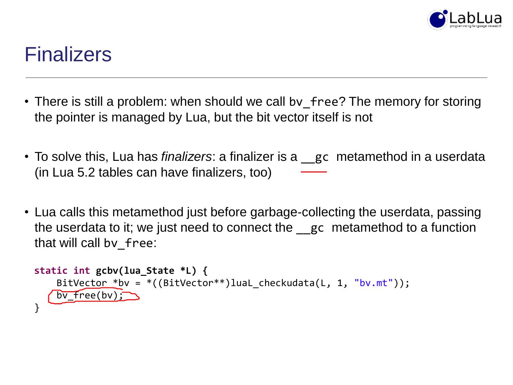

# **Finalizers**

- There is still a problem: when should we call bv\_free? The memory for storing the pointer is managed by Lua, but the bit vector itself is not
- To solve this, Lua has *finalizers*: a finalizer is a \_\_gc metamethod in a userdata (in Lua 5.2 tables can have finalizers, too)
- Lua calls this metamethod just before garbage-collecting the userdata, passing the userdata to it; we just need to connect the \_\_gc metamethod to a function that will call bv\_free:

```
static int gcbv(lua_State *L) {
   BitVector *bv = *((BitVector**)luaL checkudata(L, 1, "bv.mt"));
   bv_free(bv);
}
```